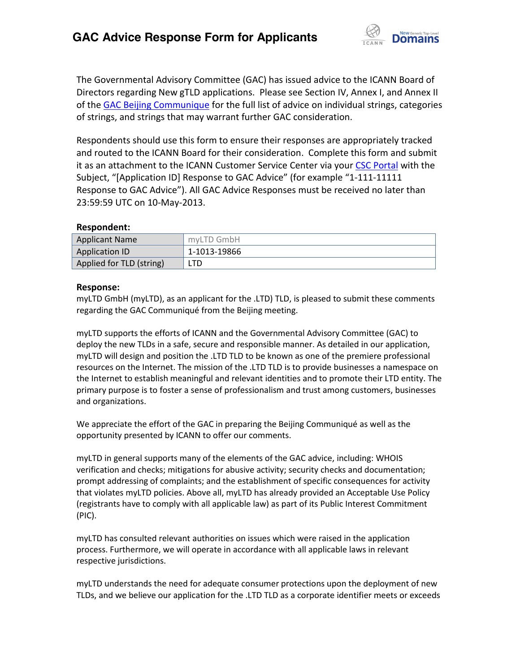

The Governmental Advisory Committee (GAC) has issued advice to the ICANN Board of Directors regarding New gTLD applications. Please see Section IV, Annex I, and Annex II of th[e GAC Beijing Communique](http://www.icann.org/en/news/correspondence/gac-to-board-18apr13-en.pdf) for the full list of advice on individual strings, categories of strings, and strings that may warrant further GAC consideration.

Respondents should use this form to ensure their responses are appropriately tracked and routed to the ICANN Board for their consideration. Complete this form and submit it as an attachment to the ICANN Customer Service Center via your CSC [Portal](https://myicann.secure.force.com/) with the Subject, "[Application ID] Response to GAC Advice" (for example "1-111-11111 Response to GAC Advice"). All GAC Advice Responses must be received no later than 23:59:59 UTC on 10-May-2013.

## **Respondent:**

| <b>Applicant Name</b>    | myLTD GmbH   |
|--------------------------|--------------|
| Application ID           | 1-1013-19866 |
| Applied for TLD (string) | LTD.         |

## **Response:**

myLTD GmbH (myLTD), as an applicant for the .LTD) TLD, is pleased to submit these comments regarding the GAC Communiqué from the Beijing meeting.

myLTD supports the efforts of ICANN and the Governmental Advisory Committee (GAC) to deploy the new TLDs in a safe, secure and responsible manner. As detailed in our application, myLTD will design and position the .LTD TLD to be known as one of the premiere professional resources on the Internet. The mission of the .LTD TLD is to provide businesses a namespace on the Internet to establish meaningful and relevant identities and to promote their LTD entity. The primary purpose is to foster a sense of professionalism and trust among customers, businesses and organizations.

We appreciate the effort of the GAC in preparing the Beijing Communiqué as well as the opportunity presented by ICANN to offer our comments.

myLTD in general supports many of the elements of the GAC advice, including: WHOIS verification and checks; mitigations for abusive activity; security checks and documentation; prompt addressing of complaints; and the establishment of specific consequences for activity that violates myLTD policies. Above all, myLTD has already provided an Acceptable Use Policy (registrants have to comply with all applicable law) as part of its Public Interest Commitment (PIC).

myLTD has consulted relevant authorities on issues which were raised in the application process. Furthermore, we will operate in accordance with all applicable laws in relevant respective jurisdictions.

myLTD understands the need for adequate consumer protections upon the deployment of new TLDs, and we believe our application for the .LTD TLD as a corporate identifier meets or exceeds